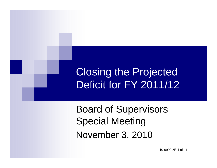#### Closing the Projected Deficit for FY 2011/12

Board of Supervisors Special Meeting November 3, 2010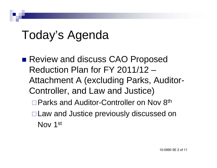## Today's Agenda

- Review and discuss CAO Proposed Reduction Plan for FY 2011/12 – Attachment A (excluding Parks, Auditor-Controller, and Law and Justice) □ Parks and Auditor-Controller on Nov 8<sup>th</sup>
	- Law and Justice previously discussed on Nov 1st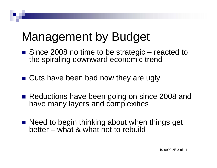## Management by Budget

- Since 2008 no time to be strategic reacted to the spiraling downward economic trend
- Cuts have been bad now they are ugly
- Reductions have been going on since 2008 and have many layers and complexities
- Need to begin thinking about when things get better – what & what not to rebuild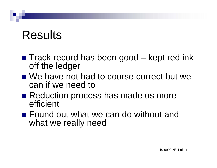### Results

- Track record has been good kept red ink off the ledger
- We have not had to course correct but we can if we need to
- Reduction process has made us more efficient
- Found out what we can do without and what we really need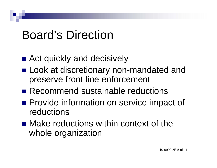### Board's Direction

- Act quickly and decisively
- **Look at discretionary non-mandated and** preserve front line enforcement
- Recommend sustainable reductions
- **Provide information on service impact of** reductions
- Make reductions within context of the whole organization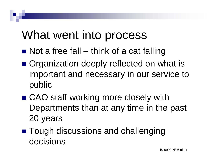#### What went into process

- Not a free fall think of a cat falling
- Organization deeply reflected on what is important and necessary in our service to public
- CAO staff working more closely with Departments than at any time in the past 20 years
- Tough discussions and challenging decisions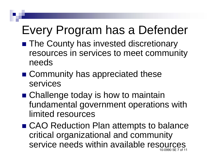# Every Program has a Defender

- **The County has invested discretionary** resources in services to meet community needs
- Community has appreciated these services
- Challenge today is how to maintain fundamental government operations with limited resources
- CAO Reduction Plan attempts to balance critical organizational and community service needs within available resources 10-0990 5E 7 of 11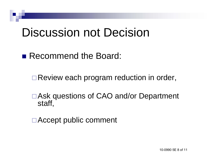#### Discussion not Decision

■ Recommend the Board:

□ Review each program reduction in order,

Ask questions of CAO and/or Department staff,

Accept public comment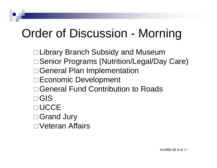# Order of Discussion - Morning

- □ Library Branch Subsidy and Museum
- □ Senior Programs (Nutrition/Legal/Day Care)
- □ General Plan Implementation
- **□ Economic Development**
- General Fund Contribution to Roads
- GIS
- **DUCCE**
- □ Grand Jury
- □ Veteran Affairs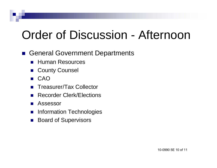## Order of Discussion - Afternoon

- General Government Departments
	- **Human Resources**
	- $\mathbb{R}^2$ County Counsel
	- $\mathbb{R}^3$ CAO
	- $\mathbb{R}^2$ Treasurer/Tax Collector
	- $\mathbb{R}^3$ Recorder Clerk/Elections
	- $\mathbb{R}^3$ Assessor
	- $\mathcal{L}^{\text{max}}$ Information Technologies
	- $\mathbb{R}^2$ Board of Supervisors